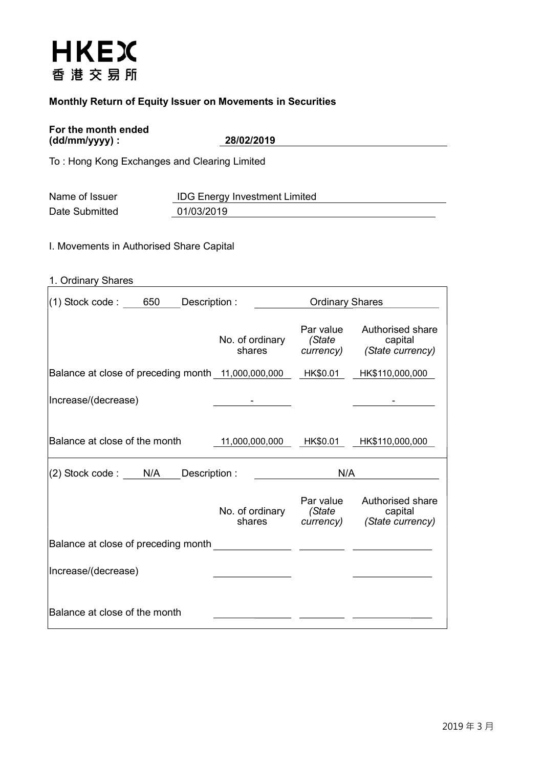# **HKEX** 香港交易所

# Monthly Return of Equity Issuer on Movements in Securities

#### For the month ended (dd/mm/yyyy) : 28/02/2019

To : Hong Kong Exchanges and Clearing Limited

| Name of Issuer | <b>IDG Energy Investment Limited</b> |
|----------------|--------------------------------------|
| Date Submitted | 01/03/2019                           |

I. Movements in Authorised Share Capital

| 1. Ordinary Shares |
|--------------------|
|                    |

| $(1)$ Stock code : 650<br>Description :                     |                                  | <b>Ordinary Shares</b> |                                                           |  |  |
|-------------------------------------------------------------|----------------------------------|------------------------|-----------------------------------------------------------|--|--|
|                                                             | No. of ordinary<br>shares        | Par value<br>(State    | Authorised share<br>capital<br>currency) (State currency) |  |  |
| Balance at close of preceding month 11,000,000,000 HK\$0.01 |                                  |                        | HK\$110,000,000                                           |  |  |
| Increase/(decrease)                                         |                                  |                        |                                                           |  |  |
| Balance at close of the month                               | 11,000,000,000                   | HK\$0.01               | HK\$110,000,000                                           |  |  |
|                                                             |                                  | N/A                    |                                                           |  |  |
| (2) Stock code : N/A<br>Description :                       |                                  |                        |                                                           |  |  |
|                                                             | No. of ordinary (State<br>shares | Par value              | Authorised share<br>capital<br>currency) (State currency) |  |  |
| Balance at close of preceding month                         |                                  |                        |                                                           |  |  |
| Increase/(decrease)                                         |                                  |                        |                                                           |  |  |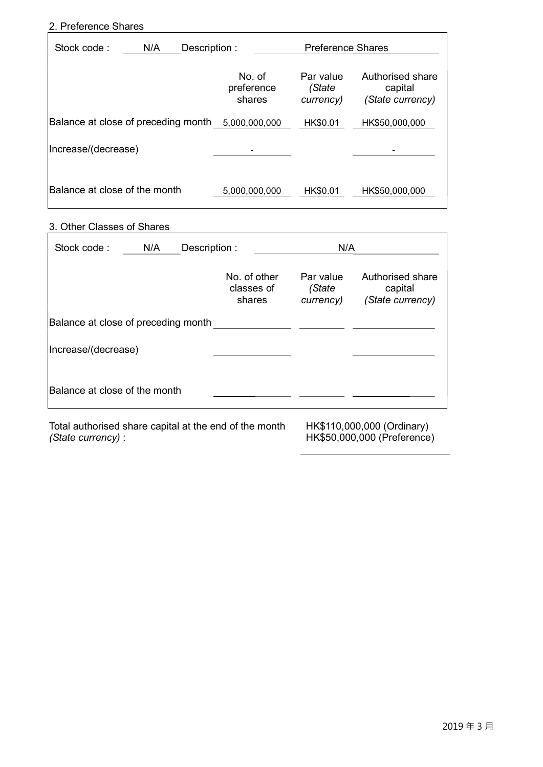### 2. Preference Shares

| Stock code:                         | N/A | Description: |                                | <b>Preference Shares</b>         |                                                 |  |  |
|-------------------------------------|-----|--------------|--------------------------------|----------------------------------|-------------------------------------------------|--|--|
|                                     |     |              | No. of<br>preference<br>shares | Par value<br>(State<br>currency) | Authorised share<br>capital<br>(State currency) |  |  |
| Balance at close of preceding month |     |              | 5,000,000,000                  | HK\$0.01                         | HK\$50,000,000                                  |  |  |
| Increase/(decrease)                 |     |              |                                |                                  |                                                 |  |  |
| Balance at close of the month       |     |              | 5,000,000,000                  | HK\$0.01                         | HK\$50,000,000                                  |  |  |

## 3. Other Classes of Shares

| Stock code:                         | N/A<br>Description : |  |                                      | N/A                              |                                                 |
|-------------------------------------|----------------------|--|--------------------------------------|----------------------------------|-------------------------------------------------|
|                                     |                      |  | No. of other<br>classes of<br>shares | Par value<br>(State<br>currency) | Authorised share<br>capital<br>(State currency) |
| Balance at close of preceding month |                      |  |                                      |                                  |                                                 |
| Increase/(decrease)                 |                      |  |                                      |                                  |                                                 |
| Balance at close of the month       |                      |  |                                      |                                  |                                                 |

Total authorised share capital at the end of the month (State currency) :

HK\$110,000,000 (Ordinary) HK\$50,000,000 (Preference)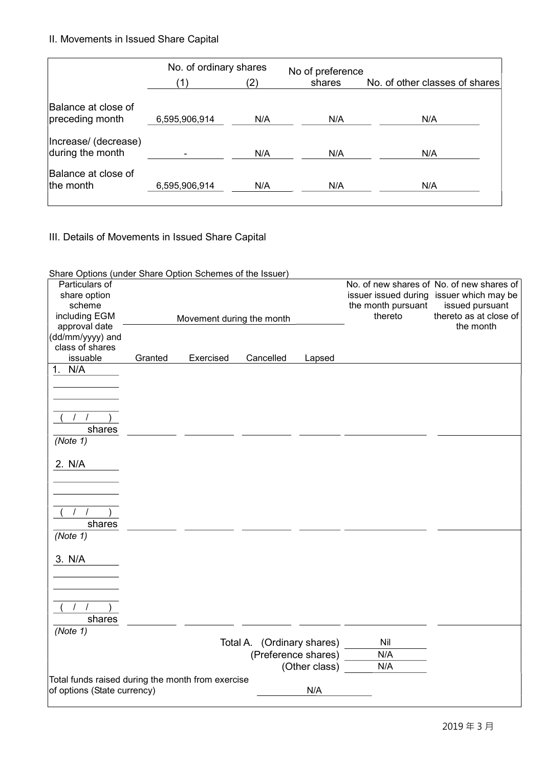II. Movements in Issued Share Capital

|                                          | No. of ordinary shares |     | No of preference |                                |
|------------------------------------------|------------------------|-----|------------------|--------------------------------|
|                                          | $\mathbf{1}$           | '2) | shares           | No. of other classes of shares |
| Balance at close of<br>preceding month   | 6,595,906,914          | N/A | N/A              | N/A                            |
| Increase/ (decrease)<br>during the month |                        | N/A | N/A              | N/A                            |
| Balance at close of<br>the month         | 6,595,906,914          | N/A | N/A              | N/A                            |

III. Details of Movements in Issued Share Capital

| Share Options (under Share Option Schemes of the Issuer) |         |                           |                            |               |                               |                                           |
|----------------------------------------------------------|---------|---------------------------|----------------------------|---------------|-------------------------------|-------------------------------------------|
| Particulars of                                           |         |                           |                            |               |                               | No. of new shares of No. of new shares of |
| share option                                             |         |                           |                            |               |                               | issuer issued during issuer which may be  |
| scheme                                                   |         |                           |                            |               | the month pursuant<br>thereto | issued pursuant<br>thereto as at close of |
| including EGM                                            |         | Movement during the month |                            |               |                               | the month                                 |
| approval date                                            |         |                           |                            |               |                               |                                           |
| (dd/mm/yyyy) and<br>class of shares                      |         |                           |                            |               |                               |                                           |
| issuable                                                 | Granted | Exercised                 | Cancelled                  | Lapsed        |                               |                                           |
| 1. N/A                                                   |         |                           |                            |               |                               |                                           |
|                                                          |         |                           |                            |               |                               |                                           |
|                                                          |         |                           |                            |               |                               |                                           |
|                                                          |         |                           |                            |               |                               |                                           |
|                                                          |         |                           |                            |               |                               |                                           |
|                                                          |         |                           |                            |               |                               |                                           |
| shares                                                   |         |                           |                            |               |                               |                                           |
| (Note 1)                                                 |         |                           |                            |               |                               |                                           |
|                                                          |         |                           |                            |               |                               |                                           |
| 2. N/A                                                   |         |                           |                            |               |                               |                                           |
|                                                          |         |                           |                            |               |                               |                                           |
|                                                          |         |                           |                            |               |                               |                                           |
|                                                          |         |                           |                            |               |                               |                                           |
|                                                          |         |                           |                            |               |                               |                                           |
| shares                                                   |         |                           |                            |               |                               |                                           |
| (Note 1)                                                 |         |                           |                            |               |                               |                                           |
|                                                          |         |                           |                            |               |                               |                                           |
|                                                          |         |                           |                            |               |                               |                                           |
| 3. N/A                                                   |         |                           |                            |               |                               |                                           |
|                                                          |         |                           |                            |               |                               |                                           |
|                                                          |         |                           |                            |               |                               |                                           |
|                                                          |         |                           |                            |               |                               |                                           |
| $\prime$                                                 |         |                           |                            |               |                               |                                           |
| shares                                                   |         |                           |                            |               |                               |                                           |
| (Note 1)                                                 |         |                           |                            |               |                               |                                           |
|                                                          |         |                           | Total A. (Ordinary shares) |               | Nil                           |                                           |
|                                                          |         |                           | (Preference shares)        |               | N/A                           |                                           |
|                                                          |         |                           |                            | (Other class) | N/A                           |                                           |
| Total funds raised during the month from exercise        |         |                           |                            |               |                               |                                           |
| of options (State currency)                              |         |                           |                            | N/A           |                               |                                           |
|                                                          |         |                           |                            |               |                               |                                           |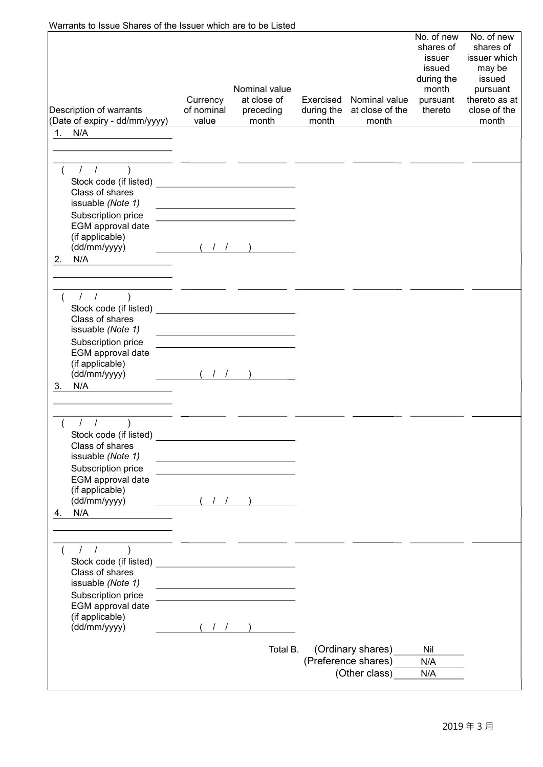| Warrants to Issue Shares of the Issuer which are to be Listed                                                                                                              |                                 |                                                                            |                                  |                                                           |                                                                                           |                                                                                                                   |
|----------------------------------------------------------------------------------------------------------------------------------------------------------------------------|---------------------------------|----------------------------------------------------------------------------|----------------------------------|-----------------------------------------------------------|-------------------------------------------------------------------------------------------|-------------------------------------------------------------------------------------------------------------------|
| Description of warrants<br>(Date of expiry - dd/mm/yyyy)                                                                                                                   | Currency<br>of nominal<br>value | Nominal value<br>at close of<br>preceding<br>month                         | Exercised<br>during the<br>month | Nominal value<br>at close of the<br>month                 | No. of new<br>shares of<br>issuer<br>issued<br>during the<br>month<br>pursuant<br>thereto | No. of new<br>shares of<br>issuer which<br>may be<br>issued<br>pursuant<br>thereto as at<br>close of the<br>month |
| 1. N/A                                                                                                                                                                     |                                 |                                                                            |                                  |                                                           |                                                                                           |                                                                                                                   |
|                                                                                                                                                                            |                                 |                                                                            |                                  |                                                           |                                                                                           |                                                                                                                   |
| 11)<br>Class of shares<br>issuable (Note 1)<br>Subscription price<br>EGM approval date<br>(if applicable)                                                                  |                                 | <u> 1989 - Johann Barn, fransk politik amerikansk politik (</u>            |                                  |                                                           |                                                                                           |                                                                                                                   |
| (dd/mm/yyyy)                                                                                                                                                               | (1)                             |                                                                            |                                  |                                                           |                                                                                           |                                                                                                                   |
| N/A<br>2.                                                                                                                                                                  |                                 |                                                                            |                                  |                                                           |                                                                                           |                                                                                                                   |
|                                                                                                                                                                            |                                 |                                                                            |                                  |                                                           |                                                                                           |                                                                                                                   |
| $1 \quad 1$<br>$\overline{\phantom{a}}$<br>Class of shares<br>issuable (Note 1)<br>Subscription price<br>EGM approval date<br>(if applicable)<br>(dd/mm/yyyy)<br>N/A<br>3. |                                 | the control of the control of the control of the control of the control of |                                  |                                                           |                                                                                           |                                                                                                                   |
|                                                                                                                                                                            |                                 |                                                                            |                                  |                                                           |                                                                                           |                                                                                                                   |
| $\sqrt{ }$<br>$\sqrt{ }$<br>Class of shares<br>issuable (Note 1)<br>Subscription price<br>EGM approval date<br>(if applicable)<br>(dd/mm/yyyy)<br>N/A<br>4.                |                                 | (11)                                                                       |                                  |                                                           |                                                                                           |                                                                                                                   |
|                                                                                                                                                                            |                                 |                                                                            |                                  |                                                           |                                                                                           |                                                                                                                   |
| 11)<br>Class of shares<br>issuable (Note 1)<br>Subscription price<br>EGM approval date<br>(if applicable)                                                                  |                                 | <u> 1989 - Johann Barn, mars ann an t-Amhain ann an t-A</u>                |                                  |                                                           |                                                                                           |                                                                                                                   |
| (dd/mm/yyyy)                                                                                                                                                               |                                 |                                                                            |                                  |                                                           |                                                                                           |                                                                                                                   |
|                                                                                                                                                                            |                                 | Total B.                                                                   |                                  | (Ordinary shares)<br>(Preference shares)<br>(Other class) | Nil<br>N/A<br>N/A                                                                         |                                                                                                                   |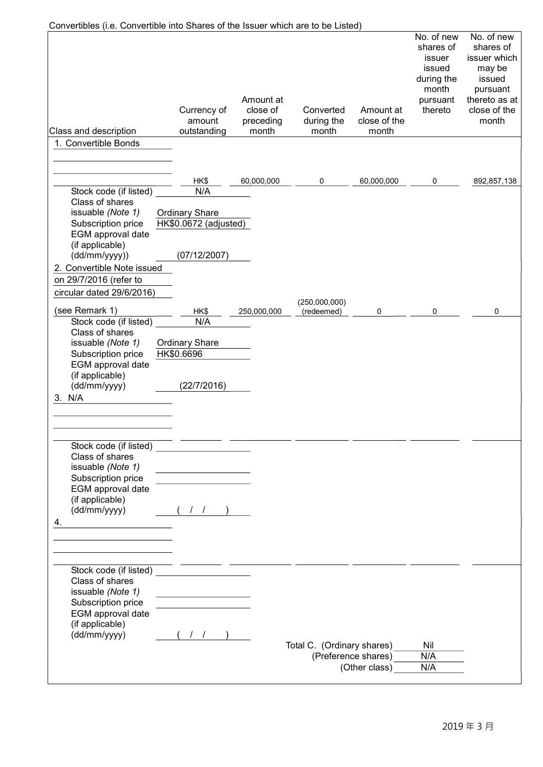| Convertibles (i.e. Convertible into Shares of the Issuer which are to be Listed) |                                                |                                             |                                  |                                    |                                                                                           |                                                                                                                   |
|----------------------------------------------------------------------------------|------------------------------------------------|---------------------------------------------|----------------------------------|------------------------------------|-------------------------------------------------------------------------------------------|-------------------------------------------------------------------------------------------------------------------|
| Class and description                                                            | Currency of<br>amount<br>outstanding           | Amount at<br>close of<br>preceding<br>month | Converted<br>during the<br>month | Amount at<br>close of the<br>month | No. of new<br>shares of<br>issuer<br>issued<br>during the<br>month<br>pursuant<br>thereto | No. of new<br>shares of<br>issuer which<br>may be<br>issued<br>pursuant<br>thereto as at<br>close of the<br>month |
| 1. Convertible Bonds                                                             |                                                |                                             |                                  |                                    |                                                                                           |                                                                                                                   |
|                                                                                  |                                                |                                             |                                  |                                    |                                                                                           |                                                                                                                   |
|                                                                                  |                                                |                                             |                                  |                                    |                                                                                           |                                                                                                                   |
|                                                                                  | HK\$                                           | 60,000,000                                  | 0                                | 60,000,000                         | 0                                                                                         | 892,857,138                                                                                                       |
| Stock code (if listed)<br>Class of shares                                        | N/A                                            |                                             |                                  |                                    |                                                                                           |                                                                                                                   |
| issuable (Note 1)<br>Subscription price<br>EGM approval date                     | <b>Ordinary Share</b><br>HK\$0.0672 (adjusted) |                                             |                                  |                                    |                                                                                           |                                                                                                                   |
| (if applicable)<br>(dd/mm/yyyy))                                                 | (07/12/2007)                                   |                                             |                                  |                                    |                                                                                           |                                                                                                                   |
| 2. Convertible Note issued                                                       |                                                |                                             |                                  |                                    |                                                                                           |                                                                                                                   |
| on 29/7/2016 (refer to                                                           |                                                |                                             |                                  |                                    |                                                                                           |                                                                                                                   |
| circular dated 29/6/2016)                                                        |                                                |                                             |                                  |                                    |                                                                                           |                                                                                                                   |
| (see Remark 1)                                                                   | HK\$                                           | 250,000,000                                 | (250,000,000)<br>(redeemed)      | 0                                  | 0                                                                                         | 0                                                                                                                 |
| Stock code (if listed)                                                           | N/A                                            |                                             |                                  |                                    |                                                                                           |                                                                                                                   |
| Class of shares                                                                  |                                                |                                             |                                  |                                    |                                                                                           |                                                                                                                   |
| issuable (Note 1)                                                                | <b>Ordinary Share</b>                          |                                             |                                  |                                    |                                                                                           |                                                                                                                   |
| Subscription price<br>EGM approval date                                          | HK\$0.6696                                     |                                             |                                  |                                    |                                                                                           |                                                                                                                   |
| (if applicable)                                                                  |                                                |                                             |                                  |                                    |                                                                                           |                                                                                                                   |
| (dd/mm/yyyy)                                                                     | (22/7/2016)                                    |                                             |                                  |                                    |                                                                                           |                                                                                                                   |
| 3. N/A                                                                           |                                                |                                             |                                  |                                    |                                                                                           |                                                                                                                   |
|                                                                                  |                                                |                                             |                                  |                                    |                                                                                           |                                                                                                                   |
|                                                                                  |                                                |                                             |                                  |                                    |                                                                                           |                                                                                                                   |
|                                                                                  |                                                |                                             |                                  |                                    |                                                                                           |                                                                                                                   |
| Stock code (if listed)<br>Class of shares                                        |                                                |                                             |                                  |                                    |                                                                                           |                                                                                                                   |
| issuable (Note 1)                                                                |                                                |                                             |                                  |                                    |                                                                                           |                                                                                                                   |
| Subscription price                                                               |                                                |                                             |                                  |                                    |                                                                                           |                                                                                                                   |
| EGM approval date                                                                |                                                |                                             |                                  |                                    |                                                                                           |                                                                                                                   |
| (if applicable)                                                                  |                                                |                                             |                                  |                                    |                                                                                           |                                                                                                                   |
| (dd/mm/yyyy)                                                                     |                                                |                                             |                                  |                                    |                                                                                           |                                                                                                                   |
| 4.                                                                               |                                                |                                             |                                  |                                    |                                                                                           |                                                                                                                   |
|                                                                                  |                                                |                                             |                                  |                                    |                                                                                           |                                                                                                                   |
|                                                                                  |                                                |                                             |                                  |                                    |                                                                                           |                                                                                                                   |
| Stock code (if listed)                                                           |                                                |                                             |                                  |                                    |                                                                                           |                                                                                                                   |
| Class of shares                                                                  |                                                |                                             |                                  |                                    |                                                                                           |                                                                                                                   |
| issuable (Note 1)                                                                |                                                |                                             |                                  |                                    |                                                                                           |                                                                                                                   |
| Subscription price                                                               |                                                |                                             |                                  |                                    |                                                                                           |                                                                                                                   |
| EGM approval date<br>(if applicable)                                             |                                                |                                             |                                  |                                    |                                                                                           |                                                                                                                   |
| (dd/mm/yyyy)                                                                     | $($ $/$ $/$ $)$                                |                                             |                                  |                                    |                                                                                           |                                                                                                                   |
|                                                                                  |                                                |                                             | Total C. (Ordinary shares)       |                                    | Nil                                                                                       |                                                                                                                   |
|                                                                                  |                                                |                                             |                                  | (Preference shares)                | N/A                                                                                       |                                                                                                                   |
|                                                                                  |                                                |                                             |                                  | (Other class)                      | N/A                                                                                       |                                                                                                                   |
|                                                                                  |                                                |                                             |                                  |                                    |                                                                                           |                                                                                                                   |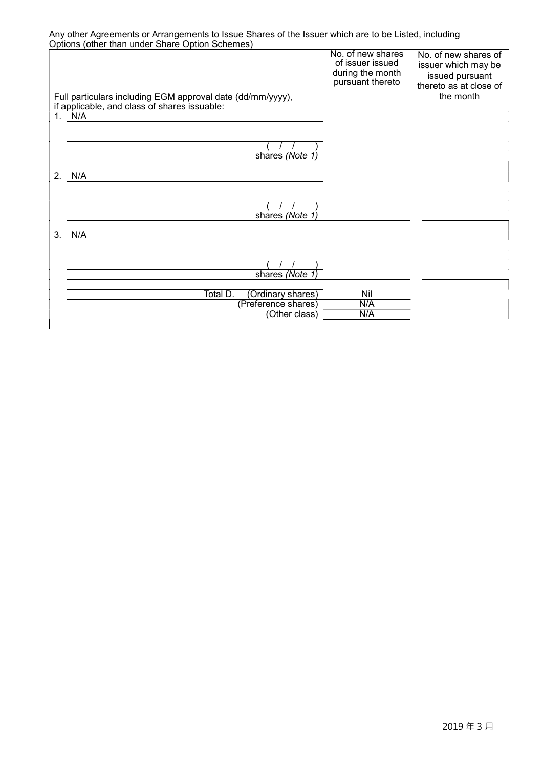Any other Agreements or Arrangements to Issue Shares of the Issuer which are to be Listed, including Options (other than under Share Option Schemes)

| Full particulars including EGM approval date (dd/mm/yyyy),<br>if applicable, and class of shares issuable: | No. of new shares<br>of issuer issued<br>during the month<br>pursuant thereto | No. of new shares of<br>issuer which may be<br>issued pursuant<br>thereto as at close of<br>the month |
|------------------------------------------------------------------------------------------------------------|-------------------------------------------------------------------------------|-------------------------------------------------------------------------------------------------------|
| 1. $N/A$                                                                                                   |                                                                               |                                                                                                       |
|                                                                                                            |                                                                               |                                                                                                       |
|                                                                                                            |                                                                               |                                                                                                       |
|                                                                                                            |                                                                               |                                                                                                       |
| shares (Note 1)                                                                                            |                                                                               |                                                                                                       |
| 2. N/A                                                                                                     |                                                                               |                                                                                                       |
|                                                                                                            |                                                                               |                                                                                                       |
|                                                                                                            |                                                                               |                                                                                                       |
|                                                                                                            |                                                                               |                                                                                                       |
| shares (Note 1)                                                                                            |                                                                               |                                                                                                       |
|                                                                                                            |                                                                               |                                                                                                       |
| 3.<br>N/A                                                                                                  |                                                                               |                                                                                                       |
|                                                                                                            |                                                                               |                                                                                                       |
|                                                                                                            |                                                                               |                                                                                                       |
|                                                                                                            |                                                                               |                                                                                                       |
| shares (Note 1)                                                                                            |                                                                               |                                                                                                       |
| Total D.<br>(Ordinary shares)                                                                              | Nil                                                                           |                                                                                                       |
| (Preference shares)                                                                                        | N/A                                                                           |                                                                                                       |
| (Other class)                                                                                              | N/A                                                                           |                                                                                                       |
|                                                                                                            |                                                                               |                                                                                                       |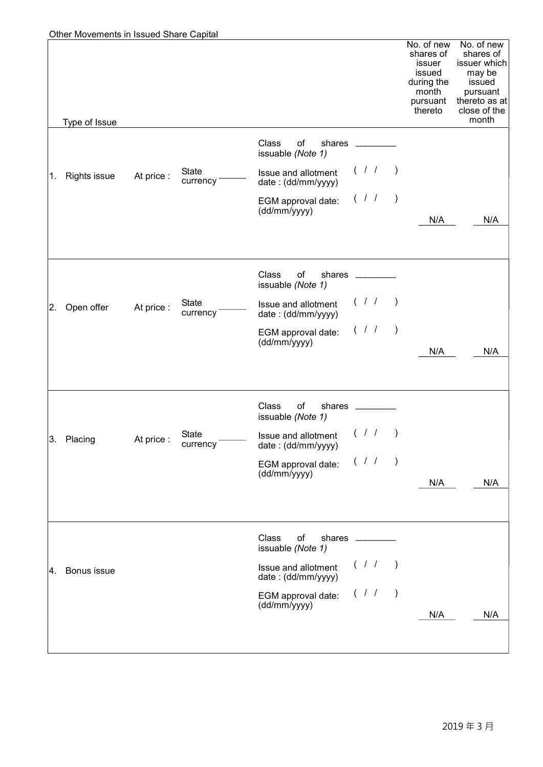| 1.  | Type of Issue<br><b>Rights issue</b> | At price : | <b>State</b><br>currency | Class<br>of<br>shares<br>issuable (Note 1)<br>Issue and allotment<br>date: (dd/mm/yyyy)<br>EGM approval date: | (11)      |                          | No. of new<br>shares of<br>issuer<br>issued<br>during the<br>month<br>pursuant<br>thereto | No. of new<br>shares of<br>issuer which<br>may be<br>issued<br>pursuant<br>thereto as at<br>close of the<br>month |
|-----|--------------------------------------|------------|--------------------------|---------------------------------------------------------------------------------------------------------------|-----------|--------------------------|-------------------------------------------------------------------------------------------|-------------------------------------------------------------------------------------------------------------------|
|     |                                      |            |                          |                                                                                                               |           |                          |                                                                                           |                                                                                                                   |
|     |                                      |            |                          |                                                                                                               |           |                          |                                                                                           |                                                                                                                   |
|     |                                      |            |                          |                                                                                                               |           |                          |                                                                                           |                                                                                                                   |
|     |                                      |            |                          |                                                                                                               |           |                          |                                                                                           |                                                                                                                   |
|     |                                      |            |                          | (dd/mm/yyyy)                                                                                                  | (1)       | $\rightarrow$            |                                                                                           |                                                                                                                   |
|     |                                      |            |                          |                                                                                                               |           |                          | N/A                                                                                       | N/A                                                                                                               |
|     |                                      |            |                          | Class<br>of<br>shares<br>issuable (Note 1)                                                                    |           |                          |                                                                                           |                                                                                                                   |
| 2.  | Open offer                           | At price:  | State<br>currency        | Issue and allotment<br>date: (dd/mm/yyyy)                                                                     | (11)      |                          |                                                                                           |                                                                                                                   |
|     |                                      |            |                          | EGM approval date:<br>(dd/mm/yyyy)                                                                            | (1)       | $\overline{\phantom{a}}$ |                                                                                           |                                                                                                                   |
|     |                                      |            |                          |                                                                                                               |           |                          | N/A                                                                                       | N/A                                                                                                               |
|     |                                      |            |                          | Class<br>of<br>shares _<br>issuable (Note 1)                                                                  |           |                          |                                                                                           |                                                                                                                   |
| 3.  | Placing                              | At price:  | <b>State</b><br>currency | Issue and allotment $(1)$<br>date: (dd/mm/yyyy)                                                               |           |                          |                                                                                           |                                                                                                                   |
|     |                                      |            |                          | EGM approval date:<br>(dd/mm/yyyy)                                                                            | $($ / $/$ | $\rightarrow$            |                                                                                           |                                                                                                                   |
|     |                                      |            |                          |                                                                                                               |           |                          | N/A                                                                                       | N/A                                                                                                               |
|     |                                      |            |                          | Class<br>of<br>shares<br>issuable (Note 1)                                                                    |           |                          |                                                                                           |                                                                                                                   |
| 14. | Bonus issue                          |            |                          | Issue and allotment<br>date: (dd/mm/yyyy)                                                                     | $($ / $/$ | $\rightarrow$            |                                                                                           |                                                                                                                   |
|     |                                      |            |                          | EGM approval date:<br>(dd/mm/yyyy)                                                                            | $($ / /   | $\left( \right)$         |                                                                                           |                                                                                                                   |
|     |                                      |            |                          |                                                                                                               |           |                          | N/A                                                                                       | N/A                                                                                                               |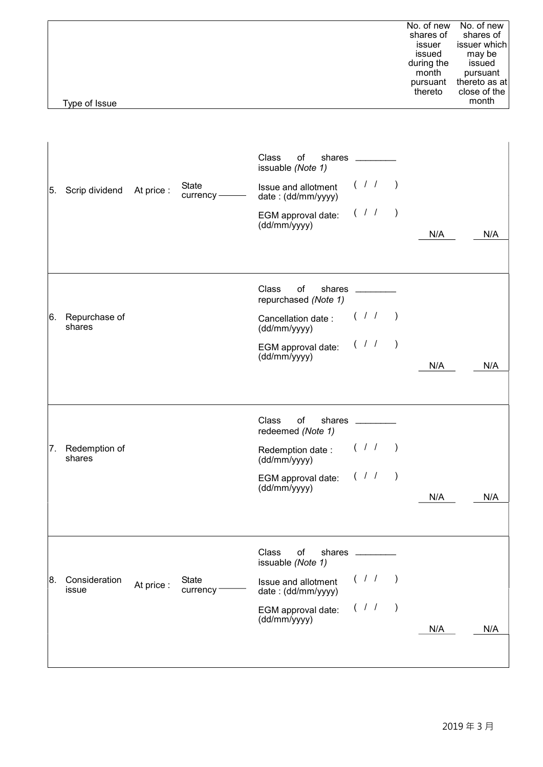|               | No. of new | No. of new    |
|---------------|------------|---------------|
|               | shares of  | shares of     |
|               | issuer     | issuer which  |
|               | issued     | may be        |
|               | during the | issued        |
|               | month      | pursuant      |
|               | pursuant   | thereto as at |
|               | thereto    | close of the  |
| Type of Issue |            | month         |
|               |            |               |
|               |            |               |

| 5. | Scrip dividend          | At price : | State<br>currency - | Class<br>of<br>issuable (Note 1)<br>Issue and allotment<br>date: (dd/mm/yyyy)<br>EGM approval date:<br>(dd/mm/yyyy)           | shares ________<br>(11)<br>(11) |                        | N/A | N/A |
|----|-------------------------|------------|---------------------|-------------------------------------------------------------------------------------------------------------------------------|---------------------------------|------------------------|-----|-----|
| 6. | Repurchase of<br>shares |            |                     | Class<br>of<br>repurchased (Note 1)<br>Cancellation date:<br>(dd/mm/yyyy)<br>EGM approval date: $(11)$<br>(dd/mm/yyyy)        | shares ______<br>(11)           |                        | N/A | N/A |
| 7. | Redemption of<br>shares |            |                     | <b>Class</b><br>of<br>redeemed (Note 1)<br>Redemption date :<br>(dd/mm/yyyy)<br>EGM approval date: $( / / )$<br>(dd/mm/yyyy)  | shares ______<br>(11)           |                        | N/A | N/A |
| 8. | Consideration<br>issue  | At price : | State<br>currency   | Class<br>of<br>shares<br>issuable (Note 1)<br>Issue and allotment<br>date: (dd/mm/yyyy)<br>EGM approval date:<br>(dd/mm/yyyy) | $($ / $/$<br>$($ / $/$          | $\lambda$<br>$\lambda$ | N/A | N/A |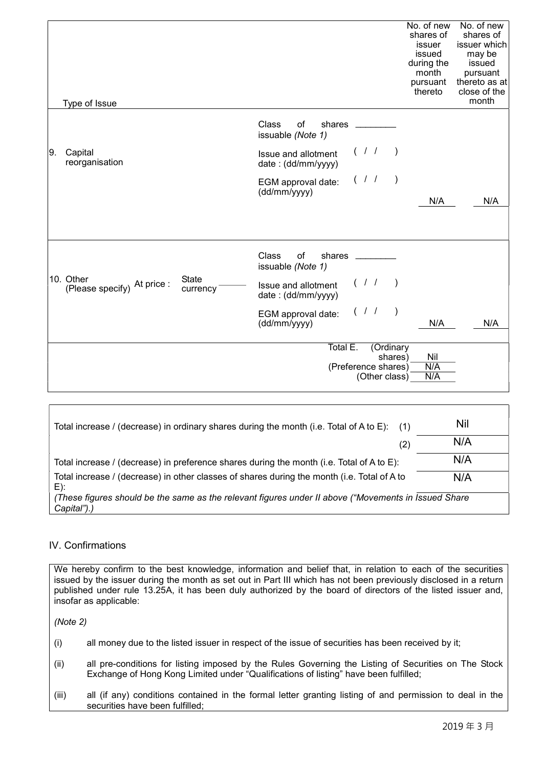|    | Type of Issue                            |                          |                                                                              | No. of new<br>shares of<br>issuer<br>issued<br>during the<br>month<br>pursuant<br>thereto | No. of new<br>shares of<br>issuer which<br>may be<br>issued<br>pursuant<br>thereto as at<br>close of the<br>month |
|----|------------------------------------------|--------------------------|------------------------------------------------------------------------------|-------------------------------------------------------------------------------------------|-------------------------------------------------------------------------------------------------------------------|
|    |                                          |                          | Class<br>of<br>shares<br>issuable (Note 1)                                   |                                                                                           |                                                                                                                   |
| 9. | Capital<br>reorganisation                |                          | (11)<br>Issue and allotment<br>date: (dd/mm/yyyy)                            |                                                                                           |                                                                                                                   |
|    |                                          |                          | (1)<br>$\rightarrow$<br>EGM approval date:<br>(dd/mm/yyyy)                   |                                                                                           |                                                                                                                   |
|    |                                          |                          |                                                                              | N/A                                                                                       | N/A                                                                                                               |
|    |                                          |                          | Class<br>of<br>shares<br>issuable (Note 1)                                   |                                                                                           |                                                                                                                   |
|    | 10. Other<br>(Please specify) At price : | <b>State</b><br>currency | (1)<br>$\overline{\phantom{a}}$<br>Issue and allotment<br>date: (dd/mm/yyyy) |                                                                                           |                                                                                                                   |
|    |                                          |                          | (1)<br>$\rightarrow$<br>EGM approval date:<br>(dd/mm/yyyy)                   | N/A                                                                                       | N/A                                                                                                               |
|    | Total E.<br>(Ordinary<br>Nil<br>shares)  |                          |                                                                              |                                                                                           |                                                                                                                   |
|    |                                          |                          | (Preference shares)<br>(Other class)                                         | N/A<br>N/A                                                                                |                                                                                                                   |

| Total increase / (decrease) in ordinary shares during the month (i.e. Total of A to E):<br>(1)                      | Nil |  |  |  |  |
|---------------------------------------------------------------------------------------------------------------------|-----|--|--|--|--|
| (2)                                                                                                                 | N/A |  |  |  |  |
| Total increase / (decrease) in preference shares during the month (i.e. Total of A to E):                           | N/A |  |  |  |  |
| Total increase / (decrease) in other classes of shares during the month (i.e. Total of A to<br>$E)$ :               | N/A |  |  |  |  |
| (These figures should be the same as the relevant figures under II above ("Movements in Issued Share<br>Capital").) |     |  |  |  |  |

#### IV. Confirmations

We hereby confirm to the best knowledge, information and belief that, in relation to each of the securities issued by the issuer during the month as set out in Part III which has not been previously disclosed in a return published under rule 13.25A, it has been duly authorized by the board of directors of the listed issuer and, insofar as applicable:

(Note 2)

- (i) all money due to the listed issuer in respect of the issue of securities has been received by it;
- (ii) all pre-conditions for listing imposed by the Rules Governing the Listing of Securities on The Stock Exchange of Hong Kong Limited under "Qualifications of listing" have been fulfilled;
- (iii) all (if any) conditions contained in the formal letter granting listing of and permission to deal in the securities have been fulfilled: